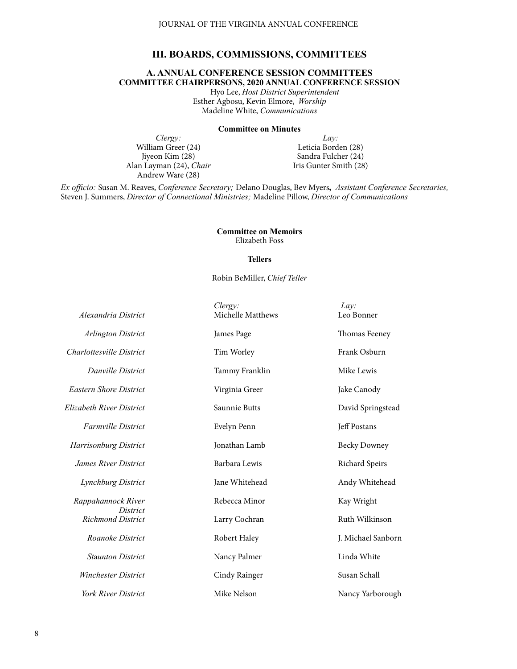# **III. BOARDS, COMMISSIONS, COMMITTEES**

# **A. ANNUAL CONFERENCE SESSION COMMITTEES COMMITTEE CHAIRPERSONS, 2020 ANNUAL CONFERENCE SESSION**

Hyo Lee, *Host District Superintendent* Esther Agbosu, Kevin Elmore, *Worship* Madeline White, *Communications*

#### **Committee on Minutes**

*Clergy:* William Greer (24) Jiyeon Kim (28) Alan Layman (24), *Chair* Andrew Ware (28)

*Lay:* Leticia Borden (28) Sandra Fulcher (24) Iris Gunter Smith (28)

*Ex officio:* Susan M. Reaves, *Conference Secretary;* Delano Douglas, Bev Myers**,** *Assistant Conference Secretaries,*  Steven J. Summers, *Director of Connectional Ministries;* Madeline Pillow, *Director of Communications*

> **Committee on Memoirs**  Elizabeth Foss

## **Tellers**

## Robin BeMiller, *Chief Teller*

| Alexandria District                   | Clergy:<br>Michelle Matthews | Lav:<br>Leo Bonner  |
|---------------------------------------|------------------------------|---------------------|
| <b>Arlington District</b>             | James Page                   | Thomas Feeney       |
| Charlottesville District              | Tim Worley                   | Frank Osburn        |
| Danville District                     | Tammy Franklin               | Mike Lewis          |
| <b>Eastern Shore District</b>         | Virginia Greer               | Jake Canody         |
| Elizabeth River District              | Saunnie Butts                | David Springstead   |
| <b>Farmville District</b>             | Evelyn Penn                  | Jeff Postans        |
| <b>Harrisonburg District</b>          | Jonathan Lamb                | <b>Becky Downey</b> |
| <b>James River District</b>           | Barbara Lewis                | Richard Speirs      |
| Lynchburg District                    | Jane Whitehead               | Andy Whitehead      |
| Rappahannock River<br><i>District</i> | Rebecca Minor                | Kay Wright          |
| <b>Richmond District</b>              | Larry Cochran                | Ruth Wilkinson      |
| Roanoke District                      | Robert Haley                 | J. Michael Sanborn  |
| <b>Staunton District</b>              | Nancy Palmer                 | Linda White         |
| <b>Winchester District</b>            | Cindy Rainger                | Susan Schall        |
| <b>York River District</b>            | Mike Nelson                  | Nancy Yarborough    |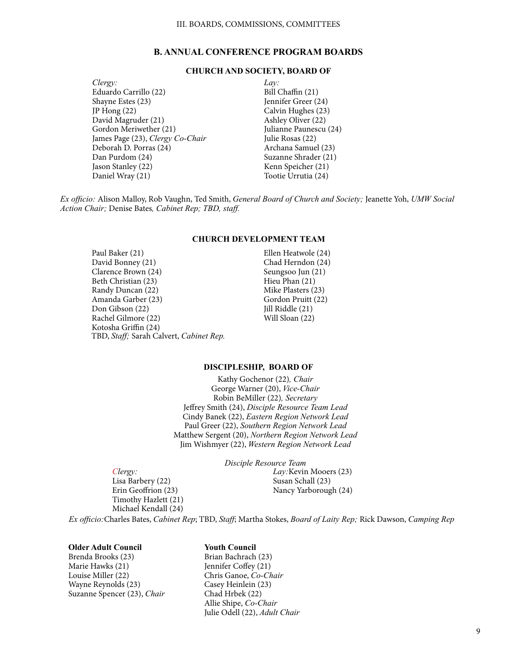# **B. ANNUAL CONFERENCE PROGRAM BOARDS**

# **CHURCH AND SOCIETY, BOARD OF**

- *Clergy:* Eduardo Carrillo (22) Shayne Estes (23) JP Hong (22) David Magruder (21) Gordon Meriwether (21) James Page (23), *Clergy Co-Chair* Deborah D. Porras (24) Dan Purdom (24) Jason Stanley (22) Daniel Wray (21)
- *Lay:* Bill Chaffin (21) Jennifer Greer (24) Calvin Hughes (23) Ashley Oliver (22) Julianne Paunescu (24) Julie Rosas (22) Archana Samuel (23) Suzanne Shrader (21) Kenn Speicher (21) Tootie Urrutia (24)

*Ex officio:* Alison Malloy, Rob Vaughn, Ted Smith, *General Board of Church and Society;* Jeanette Yoh, *UMW Social Action Chair;* Denise Bates*, Cabinet Rep; TBD, staff.*

# **CHURCH DEVELOPMENT TEAM**

Paul Baker (21) David Bonney (21) Clarence Brown (24) Beth Christian (23) Randy Duncan (22) Amanda Garber (23) Don Gibson (22) Rachel Gilmore (22) Kotosha Griffin (24) TBD, *Staff;* Sarah Calvert, *Cabinet Rep.* Ellen Heatwole (24) Chad Herndon (24) Seungsoo Jun (21) Hieu Phan (21) Mike Plasters (23) Gordon Pruitt (22) Jill Riddle (21) Will Sloan (22)

## **DISCIPLESHIP, BOARD OF**

Kathy Gochenor (22)*, Chair* George Warner (20), *Vice-Chair* Robin BeMiller (22)*, Secretary* Jeffrey Smith (24), *Disciple Resource Team Lead* Cindy Banek (22), *Eastern Region Network Lead* Paul Greer (22), *Southern Region Network Lead* Matthew Sergent (20), *Northern Region Network Lead* Jim Wishmyer (22), *Western Region Network Lead*

*Clergy:* Lisa Barbery (22) Erin Geoffrion (23) Timothy Hazlett (21) Michael Kendall (24) *Disciple Resource Team Lay:*Kevin Mooers (23) Susan Schall (23) Nancy Yarborough (24)

*Ex officio:*Charles Bates, *Cabinet Rep*; TBD, *Staff*; Martha Stokes, *Board of Laity Rep;* Rick Dawson, *Camping Rep*

# **Older Adult Council**

Brenda Brooks (23) Marie Hawks (21) Louise Miller (22) Wayne Reynolds (23) Suzanne Spencer (23), *Chair*

# **Youth Council**

Brian Bachrach (23) Jennifer Coffey (21) Chris Ganoe, *Co-Chair* Casey Heinlein (23) Chad Hrbek (22) Allie Shipe, *Co-Chair* Julie Odell (22), *Adult Chair*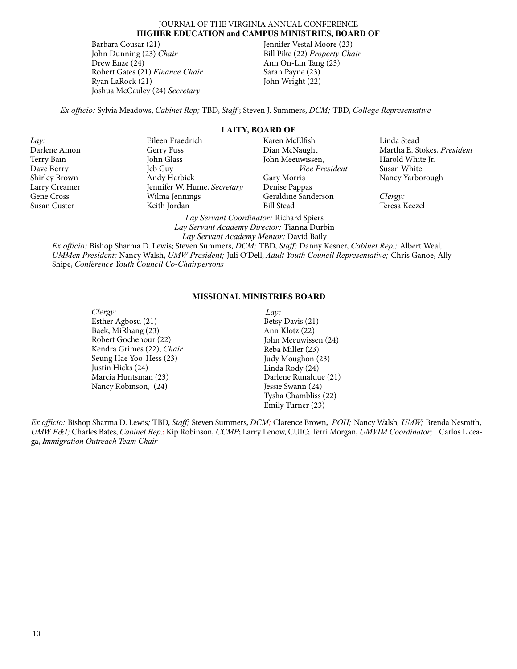# JOURNAL OF THE VIRGINIA ANNUAL CONFERENCE **HIGHER EDUCATION and CAMPUS MINISTRIES, BOARD OF**

Barbara Cousar (21) John Dunning (23) *Chair* Drew Enze (24) Robert Gates (21) *Finance Chair* Ryan LaRock (21) Joshua McCauley (24) *Secretary*

Jennifer Vestal Moore (23) Bill Pike (22) *Property Chair* Ann On-Lin Tang (23) Sarah Payne (23) John Wright (22)

*Ex officio:* Sylvia Meadows, *Cabinet Rep;* TBD, *Staff* ; Steven J. Summers, *DCM;* TBD, *College Representative*

*Lay:* Darlene Amon Terry Bain Dave Berry Shirley Brown Larry Creamer Gene Cross Susan Custer

Eileen Fraedrich Gerry Fuss John Glass Jeb Guy Andy Harbick Jennifer W. Hume, *Secretary* Wilma Jennings Keith Jordan

**LAITY, BOARD OF** Karen McElfish Dian McNaught John Meeuwissen,  *Vice President* Gary Morris Denise Pappas Geraldine Sanderson Bill Stead

Linda Stead Martha E. Stokes, *President* Harold White Jr. Susan White Nancy Yarborough

*Clergy:* Teresa Keezel

*Lay Servant Academy Mentor:* David Baily *Ex officio:* Bishop Sharma D. Lewis; Steven Summers, *DCM;* TBD, *Staff;* Danny Kesner, *Cabinet Rep.;* Albert Weal*, UMMen President;* Nancy Walsh, *UMW President;* Juli O'Dell, *Adult Youth Council Representative;* Chris Ganoe, Ally Shipe, *Conference Youth Council Co-Chairpersons*

*Lay Servant Coordinator:* Richard Spiers *Lay Servant Academy Director:* Tianna Durbin

#### **MISSIONAL MINISTRIES BOARD**

*Clergy:* Esther Agbosu (21) Baek, MiRhang (23) Robert Gochenour (22) Kendra Grimes (22), *Chair* Seung Hae Yoo-Hess (23) Justin Hicks (24) Marcia Huntsman (23) Nancy Robinson, (24)

*Lay:* Betsy Davis (21) Ann Klotz (22) John Meeuwissen (24) Reba Miller (23) Judy Moughon (23) Linda Rody (24) Darlene Runaldue (21) Jessie Swann (24) Tysha Chambliss (22) Emily Turner (23)

*Ex officio:* Bishop Sharma D. Lewis*;* TBD, *Staff;* Steven Summers, *DCM;* Clarence Brown, *POH;* Nancy Walsh*, UMW;* Brenda Nesmith, *UMW E&I;* Charles Bates, *Cabinet Rep*.; Kip Robinson, *CCMP*; Larry Lenow, CUIC; Terri Morgan, *UMVIM Coordinator;* Carlos Liceaga, *Immigration Outreach Team Chair*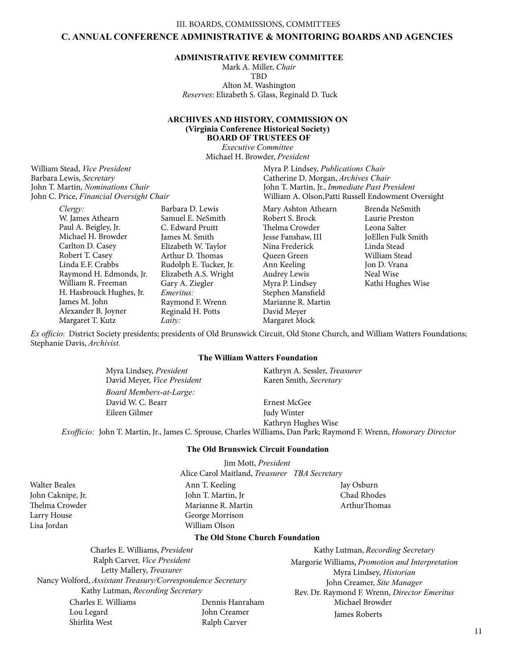III. BOARDS, COMMISSIONS, COMMITTEES

# **C. ANNUAL CONFERENCE ADMINISTRATIVE & MONITORING BOARDS AND AGENCIES**

# **ADMINISTRATIVE REVIEW COMMITTEE**

Mark A. Miller, *Chair* TBD Alton M. Washington *Reserves*: Elizabeth S. Glass, Reginald D. Tuck

## **ARCHIVES AND HISTORY, COMMISSION ON (Virginia Conference Historical Society) BOARD OF TRUSTEES OF**

*Executive Committee* Michael H. Browder, *President*

William Stead, *Vice President* Barbara Lewis, *Secretary*  John T. Martin, *Nominations Chair*  John C. Price, *Financial Oversight Chair*

> *Clergy:* W. James Athearn Paul A. Beigley, Jr. Michael H. Browder Carlton D. Casey Robert T. Casey Linda E.F. Crabbs Raymond H. Edmonds, Jr. William R. Freeman H. Hasbrouck Hughes, Jr. James M. John Alexander B. Joyner Margaret T. Kutz Barbara D. Lewis C. Edward Pruitt James M. Smith Gary A. Ziegler *Emeritus: Laity:*

Samuel E. NeSmith Elizabeth W. Taylor Arthur D. Thomas Rudolph E. Tucker, Jr. Elizabeth A.S. Wright Raymond F. Wrenn Reginald H. Potts Margaret Mock William A. Olson,Patti Russell Endowment Oversight

Mary Ashton Athearn Robert S. Brock Thelma Crowder Jesse Fanshaw, III Nina Frederick Queen Green Ann Keeling Audrey Lewis Myra P. Lindsey Stephen Mansfield Marianne R. Martin David Meyer

Myra P. Lindsey, *Publications Chair* Catherine D. Morgan, *Archives Chair* John T. Martin, Jr., *Immediate Past President*

> Brenda NeSmith Laurie Preston Leona Salter JoEllen Fulk Smith Linda Stead William Stead Jon D. Vrana Neal Wise Kathi Hughes Wise

*Ex officio*: District Society presidents; presidents of Old Brunswick Circuit, Old Stone Church, and William Watters Foundations; Stephanie Davis, *Archivist.*

# **The William Watters Foundation**

*Board Members-at-Large:* David W. C. Bearr Eileen Gilmer Ernest McGee Judy Winter Kathryn Hughes Wise Myra Lindsey, *President* David Meyer, *Vice President*  Kathryn A. Sessler, *Treasurer* Karen Smith, *Secretary* 

*Exofficio:* John T. Martin, Jr., James C. Sprouse, Charles Williams, Dan Park; Raymond F. Wrenn, *Honorary Director*

# **The Old Brunswick Circuit Foundation**

Jim Mott, *President*

Alice Carol Maitland, *Treasurer TBA Secretary*

Walter Beales John Caknipe, Jr. Thelma Crowder Larry House Lisa Jordan

Ann T. Keeling John T. Martin, Jr Marianne R. Martin George Morrison William Olson

Jay Osburn Chad Rhodes ArthurThomas

#### **The Old Stone Church Foundation**

Charles E. Williams, *President* Ralph Carver, *Vice President* Letty Mallery, *Treasurer* Nancy Wolford, *Assistant Treasury/Correspondence Secretary* Kathy Lutman, *Recording Secretary* Charles E. Williams Lou Legard Shirlita West Dennis Hanraham John Creamer Ralph Carver

Kathy Lutman, *Recording Secretary* Margorie Williams, *Promotion and Interpretation* Myra Lindsey, *Historian* John Creamer, *Site Manager* Rev. Dr. Raymond F. Wrenn, *Director Emeritus* Michael Browder James Roberts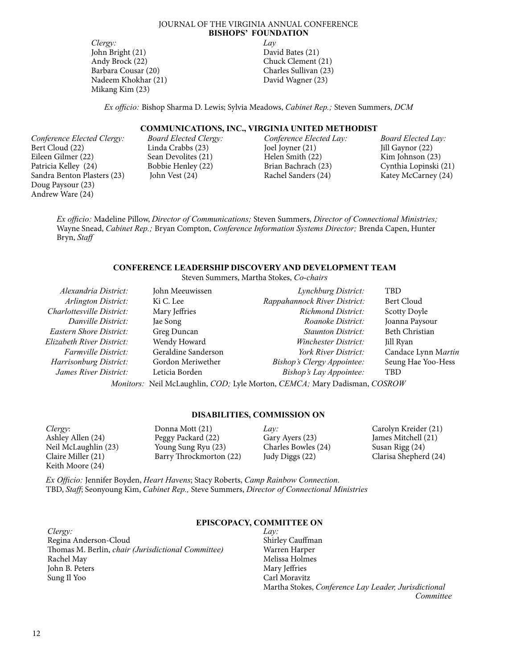## JOURNAL OF THE VIRGINIA ANNUAL CONFERENCE **BISHOPS' FOUNDATION**

*Clergy:* John Bright (21) Andy Brock (22) Barbara Cousar (20) Nadeem Khokhar (21) Mikang Kim (23)

*Lay* David Bates (21) Chuck Clement (21) Charles Sullivan (23) David Wagner (23)

*Ex officio:* Bishop Sharma D. Lewis; Sylvia Meadows, *Cabinet Rep.;* Steven Summers, *DCM*

# **COMMUNICATIONS, INC., VIRGINIA UNITED METHODIST**

*Conference Elected Clergy:* Bert Cloud (22) Eileen Gilmer (22) Patricia Kelley (24) Sandra Benton Plasters (23) Doug Paysour (23) Andrew Ware (24)

*Board Elected Clergy:* Linda Crabbs (23) Sean Devolites (21) Bobbie Henley (22) John Vest (24)

*Conference Elected Lay:* Joel Joyner (21) Helen Smith (22) Brian Bachrach (23) Rachel Sanders (24)

*Board Elected Lay:* Jill Gaynor (22) Kim Johnson (23) Cynthia Lopinski (21) Katey McCarney (24)

*Ex officio:* Madeline Pillow, *Director of Communications;* Steven Summers, *Director of Connectional Ministries;*  Wayne Snead, *Cabinet Rep.;* Bryan Compton, *Conference Information Systems Director;* Brenda Capen, Hunter Bryn, *Staff*

# **CONFERENCE LEADERSHIP DISCOVERY AND DEVELOPMENT TEAM**

Steven Summers, Martha Stokes, *Co-chairs*

| Alexandria District:                                                      | John Meeuwissen     | Lynchburg District:          | <b>TBD</b>            |
|---------------------------------------------------------------------------|---------------------|------------------------------|-----------------------|
| Arlington District:                                                       | Ki C. Lee           | Rappahannock River District: | Bert Cloud            |
| Charlottesville District:                                                 | Mary Jeffries       | <b>Richmond District:</b>    | <b>Scotty Doyle</b>   |
| Danville District:                                                        | Jae Song            | Roanoke District:            | Joanna Paysour        |
| Eastern Shore District:                                                   | Greg Duncan         | <b>Staunton District:</b>    | <b>Beth Christian</b> |
| Elizabeth River District:                                                 | Wendy Howard        | Winchester District:         | Jill Ryan             |
| <i>Farmville District:</i>                                                | Geraldine Sanderson | York River District:         | Candace Lynn Martin   |
| Harrisonburg District:                                                    | Gordon Meriwether   | Bishop's Clergy Appointee:   | Seung Hae Yoo-Hess    |
| James River District:                                                     | Leticia Borden      | Bishop's Lay Appointee:      | <b>TBD</b>            |
| Monitors: Neil McLaughlin, COD; Lyle Morton, CEMCA; Mary Dadisman, COSROW |                     |                              |                       |

## **DISABILITIES, COMMISSION ON**

| Clergy:              | Donna Mott (21)         | Lav:                | Carolyn Kreider (21)  |
|----------------------|-------------------------|---------------------|-----------------------|
| Ashley Allen (24)    | Peggy Packard (22)      | Gary Ayers (23)     | James Mitchell (21)   |
| Neil McLaughlin (23) | Young Sung Ryu (23)     | Charles Bowles (24) | Susan Rigg (24)       |
| Claire Miller (21)   | Barry Throckmorton (22) | Judy Diggs (22)     | Clarisa Shepherd (24) |
| Keith Moore (24)     |                         |                     |                       |

*Ex Officio:* Jennifer Boyden, *Heart Havens*; Stacy Roberts, *Camp Rainbow Connection*. TBD, *Staff*; Seonyoung Kim, *Cabinet Rep.,* Steve Summers, *Director of Connectional Ministries*

#### *Lay:* **EPISCOPACY, COMMITTEE ON**

*Clergy:* Regina Anderson-Cloud Thomas M. Berlin, *chair (Jurisdictional Committee)* Rachel May John B. Peters Sung Il Yoo

Shirley Cauffman Warren Harper Melissa Holmes Mary Jeffries Carl Moravitz Martha Stokes, *Conference Lay Leader, Jurisdictional Committee*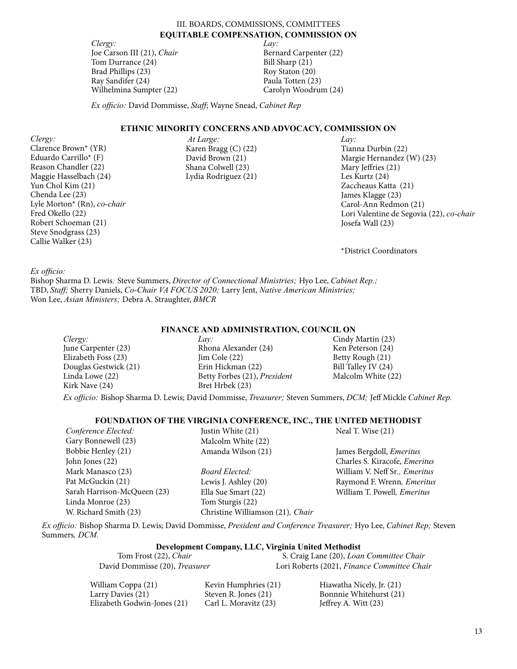III. BOARDS, COMMISSIONS, COMMITTEES **EQUITABLE COMPENSATION, COMMISSION ON**

*Lay:*

Bernard Carpenter (22)

Bill Sharp (21) Roy Staton (20) Paula Totten (23) Carolyn Woodrum (24)

*Clergy:* Joe Carson III (21), *Chair*  Tom Durrance (24) Brad Phillips (23) Ray Sandifer (24) Wilhelmina Sumpter (22)

*Ex officio:* David Dommisse, *Staff*; Wayne Snead, *Cabinet Rep*

# **ETHNIC MINORITY CONCERNS AND ADVOCACY, COMMISSION ON**

*Clergy:* Clarence Brown\* (YR) Eduardo Carrillo\* (F) Reason Chandler (22) Maggie Hasselbach (24) Yun Chol Kim (21) Chenda Lee (23) Lyle Morton\* (Rn), *co-chair* Fred Okello (22) Robert Schoeman (21) Steve Snodgrass (23) Callie Walker (23)

*At Large:* Karen Bragg (C) (22) David Brown (21) Shana Colwell (23) Lydia Rodriguez (21) *Lay:* Tianna Durbin (22) Margie Hernandez (W) (23) Mary Jeffries (21) Les Kurtz (24) Zaccheaus Katta (21) James Klagge (23) Carol-Ann Redmon (21) Lori Valentine de Segovia (22), *co-chair* Josefa Wall (23)

\*District Coordinators

## *Ex officio:*

Bishop Sharma D. Lewis*;* Steve Summers, *Director of Connectional Ministries;* Hyo Lee, *Cabinet Rep.;*  TBD, *Staff;* Sherry Daniels, *Co-Chair VA FOCUS 2020;* Larry Jent, *Native American Ministries;* Won Lee, *Asian Ministers;* Debra A. Straughter, *BMCR*

# **FINANCE AND ADMINISTRATION, COUNCIL ON**

| Clergy:               | Lav:                           | Cindy Martin (23)   |
|-----------------------|--------------------------------|---------------------|
| June Carpenter (23)   | Rhona Alexander (24)           | Ken Peterson (24)   |
| Elizabeth Foss (23)   | $\text{Jim} \text{ Cole} (22)$ | Betty Rough (21)    |
| Douglas Gestwick (21) | Erin Hickman (22)              | Bill Talley IV (24) |
| Linda Lowe (22)       | Betty Forbes (21), President   | Malcolm White (22)  |
| Kirk Nave (24)        | Bret Hrbek (23)                |                     |
|                       |                                |                     |

*Ex officio:* Bishop Sharma D. Lewis; David Dommisse, *Treasurer;* Steven Summers, *DCM;* Jeff Mickle *Cabinet Rep.*

# **FOUNDATION OF THE VIRGINIA CONFERENCE, INC., THE UNITED METHODIST**

| Conference Elected:         | Justin White (21)                | Neal T. Wise (21)                    |
|-----------------------------|----------------------------------|--------------------------------------|
| Gary Bonnewell (23)         | Malcolm White (22)               |                                      |
| Bobbie Henley (21)          | Amanda Wilson (21)               | James Bergdoll, <i>Emeritus</i>      |
| John Jones (22)             |                                  | Charles S. Kiracofe, <i>Emeritus</i> |
| Mark Manasco (23)           | Board Elected:                   | William V. Neff Sr., <i>Emeritus</i> |
| Pat McGuckin (21)           | Lewis J. Ashley (20)             | Raymond F. Wrenn, Emeritus           |
| Sarah Harrison-McQueen (23) | Ella Sue Smart (22)              | William T. Powell, <i>Emeritus</i>   |
| Linda Monroe (23)           | Tom Sturgis (22)                 |                                      |
| W. Richard Smith (23)       | Christine Williamson (21), Chair |                                      |
|                             |                                  |                                      |

*Ex officio:* Bishop Sharma D. Lewis; David Dommisse, *President and Conference Treasurer;* Hyo Lee, *Cabinet Rep;* Steven Summers*, DCM.*

# **Development Company, LLC, Virginia United Methodist**

| Tom Frost (22), Chair          | S. Craig Lane (20), Loan Committee Chair    |
|--------------------------------|---------------------------------------------|
| David Dommisse (20), Treasurer | Lori Roberts (2021, Finance Committee Chair |

| William Coppa (21)          | Kevin Humphries (21)  | Hiawatha Nicely, Jr. (21) |
|-----------------------------|-----------------------|---------------------------|
| Larry Davies (21)           | Steven R. Jones (21)  | Bonnnie Whitehurst (21)   |
| Elizabeth Godwin-Jones (21) | Carl L. Moravitz (23) | Jeffrey A. Witt $(23)$    |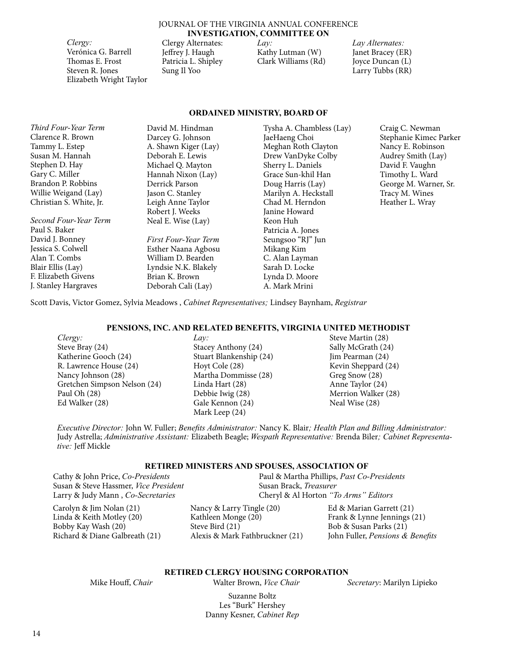## JOURNAL OF THE VIRGINIA ANNUAL CONFERENCE **INVESTIGATION, COMMITTEE ON**

*Clergy:*  Verónica G. Barrell Thomas E. Frost Steven R. Jones Elizabeth Wright Taylor Clergy Alternates: Jeffrey J. Haugh Patricia L. Shipley Sung Il Yoo

*Lay:* Kathy Lutman (W) Clark Williams (Rd) *Lay Alternates:* Janet Bracey (ER) Joyce Duncan (L) Larry Tubbs (RR)

# **ORDAINED MINISTRY, BOARD OF**

| David M. Hindman     | Tysha A. Chambless (Lay) | Craig C. |
|----------------------|--------------------------|----------|
| Darcey G. Johnson    | JaeHaeng Choi            | Stephani |
| A. Shawn Kiger (Lay) | Meghan Roth Clayton      | Nancy E  |
| Deborah E. Lewis     | Drew VanDyke Colby       | Audrey ! |
| Michael Q. Mayton    | Sherry L. Daniels        | David F. |
| Hannah Nixon (Lay)   | Grace Sun-khil Han       | Timothy  |
| Derrick Parson       | Doug Harris (Lay)        | George l |
| Jason C. Stanley     | Marilyn A. Heckstall     | Tracy M  |
| Leigh Anne Taylor    | Chad M. Herndon          | Heather  |
| Robert J. Weeks      | Janine Howard            |          |
| Neal E. Wise (Lay)   | Keon Huh                 |          |
|                      | Patricia A. Jones        |          |
| First Four-Year Term | Seungsoo "RJ" Jun        |          |
| Esther Naana Agbosu  | Mikang Kim               |          |
| William D. Bearden   | C. Alan Layman           |          |
| Lyndsie N.K. Blakely | Sarah D. Locke           |          |
| Brian K. Brown       | Lynda D. Moore           |          |
| Deborah Cali (Lay)   | A. Mark Mrini            |          |
|                      |                          |          |

Newman ie Kimec Parker . Robinson Smith (Lay) Vaughn L. Ward M. Warner, Sr. I. Wines L. Wray

Scott Davis, Victor Gomez, Sylvia Meadows , *Cabinet Representatives;* Lindsey Baynham, *Registrar*

#### **PENSIONS, INC. AND RELATED BENEFITS, VIRGINIA UNITED METHODIST**

*Clergy:* Steve Bray (24) Katherine Gooch (24) R. Lawrence House (24) Nancy Johnson (28) Gretchen Simpson Nelson (24) Paul Oh (28) Ed Walker (28)

## *Lay:* Stacey Anthony (24) Stuart Blankenship (24) Hoyt Cole (28) Martha Dommisse (28) Linda Hart (28) Debbie Iwig (28) Gale Kennon (24) Mark Leep (24)

Steve Martin (28) Sally McGrath (24) Jim Pearman (24) Kevin Sheppard (24) Greg Snow (28) Anne Taylor (24) Merrion Walker (28) Neal Wise (28)

*Executive Director:* John W. Fuller; *Benefits Administrator:* Nancy K. Blair*; Health Plan and Billing Administrator:*  Judy Astrella; *Administrative Assistant:* Elizabeth Beagle; *Wespath Representative:* Brenda Biler*; Cabinet Representative:* Jeff Mickle

# **RETIRED MINISTERS AND SPOUSES, ASSOCIATION OF**

Cathy & John Price, *Co-Presidents* Susan & Steve Hassmer, *Vice President* Larry & Judy Mann , *Co-Secretaries*

Carolyn & Jim Nolan (21) Linda & Keith Motley (20) Bobby Kay Wash (20)

Richard & Diane Galbreath (21)

Nancy & Larry Tingle (20) Kathleen Monge (20) Steve Bird (21) Alexis & Mark Fathbruckner (21)

Cheryl & Al Horton *"To Arms" Editors* Ed & Marian Garrett (21)

Paul & Martha Phillips, *Past Co-Presidents* 

Susan Brack, *Treasurer*

Frank & Lynne Jennings (21) Bob & Susan Parks (21) John Fuller, *Pensions & Benefits*

# **RETIRED CLERGY HOUSING CORPORATION**

Suzanne Boltz

Mike Houff, *Chair* Walter Brown, *Vice Chair Secretary*: Marilyn Lipieko

Les "Burk" Hershey Danny Kesner, *Cabinet Rep*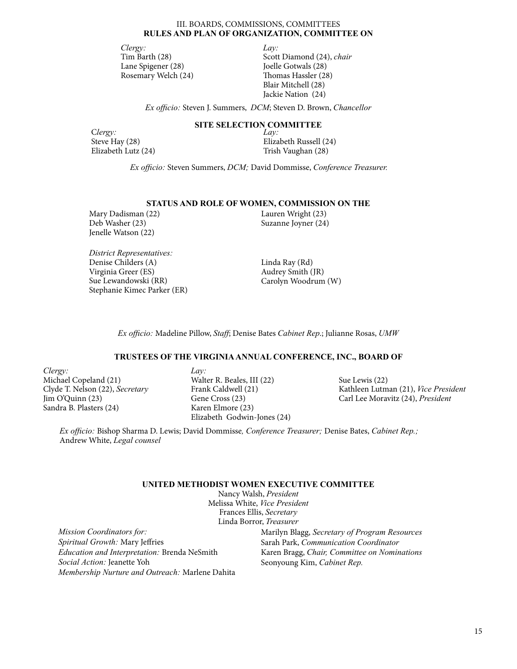## III. BOARDS, COMMISSIONS, COMMITTEES **RULES AND PLAN OF ORGANIZATION, COMMITTEE ON**

*Clergy:* Tim Barth (28) Lane Spigener (28) Rosemary Welch (24) *Lay:* Scott Diamond (24), *chair* Joelle Gotwals (28) Thomas Hassler (28) Blair Mitchell (28) Jackie Nation (24)

*Ex officio:* Steven J. Summers, *DCM*; Steven D. Brown, *Chancellor*

# **SITE SELECTION COMMITTEE**

C*lergy:* Steve Hay (28) Elizabeth Lutz (24)

*Lay:* Elizabeth Russell (24) Trish Vaughan (28)

*Ex officio:* Steven Summers, *DCM;* David Dommisse, *Conference Treasurer.*

#### **STATUS AND ROLE OF WOMEN, COMMISSION ON THE**

Mary Dadisman (22) Deb Washer (23) Jenelle Watson (22)

*District Representatives:* Denise Childers (A) Virginia Greer (ES) Sue Lewandowski (RR) Stephanie Kimec Parker (ER) Lauren Wright (23) Suzanne Joyner (24)

Linda Ray (Rd) Audrey Smith (JR) Carolyn Woodrum (W)

*Ex officio:* Madeline Pillow, *Staff*; Denise Bates *Cabinet Rep*.; Julianne Rosas, *UMW*

## **TRUSTEES OF THE VIRGINIA ANNUAL CONFERENCE, INC., BOARD OF**

*Clergy:* Michael Copeland (21) Clyde T. Nelson (22), *Secretary*  Jim O'Quinn (23) Sandra B. Plasters (24)

*Lay:* Walter R. Beales, III (22) Frank Caldwell (21) Gene Cross (23) Karen Elmore (23) Elizabeth Godwin-Jones (24)

Sue Lewis (22) Kathleen Lutman (21), *Vice President* Carl Lee Moravitz (24), *President*

*Ex officio:* Bishop Sharma D. Lewis; David Dommisse*, Conference Treasurer;* Denise Bates, *Cabinet Rep.;*  Andrew White, *Legal counsel*

# **UNITED METHODIST WOMEN EXECUTIVE COMMITTEE**

Nancy Walsh, *President* Melissa White, *Vice President* Frances Ellis, *Secretary* Linda Borror, *Treasurer*

*Mission Coordinators for: Spiritual Growth:* Mary Jeffries *Education and Interpretation:* Brenda NeSmith *Social Action:* Jeanette Yoh *Membership Nurture and Outreach:* Marlene Dahita Marilyn Blagg, *Secretary of Program Resources* Sarah Park, *Communication Coordinator* Karen Bragg, *Chair, Committee on Nominations* Seonyoung Kim, *Cabinet Rep.*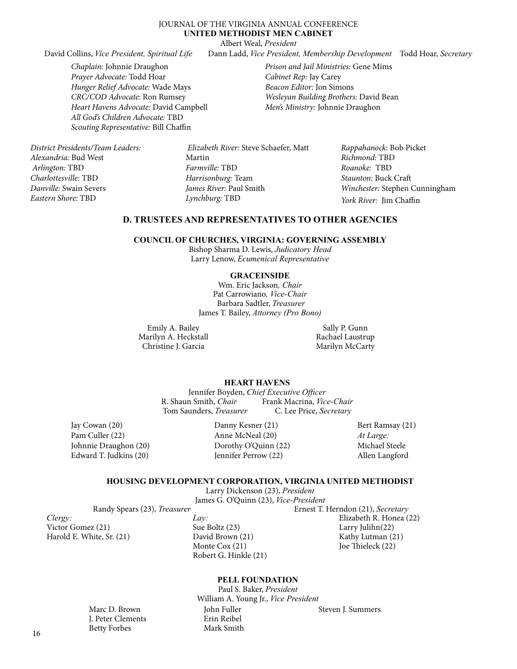# JOURNAL OF THE VIRGINIA ANNUAL CONFERENCE **UNITED METHODIST MEN CABINET**

Albert Weal, *President*

David Collins, *Vice President, Spiritual Life* Dann Ladd, *Vice President, Membership Development* Todd Hoar, *Secretary*

*Chaplain:* Johnnie Draughon *Prayer Advocate:* Todd Hoar *Hunger Relief Advocate:* Wade Mays *CRC/COD Advocate*: Ron Rumsey *Heart Havens Advocate:* David Campbell *All God's Children Advocate:* TBD *Scouting Representative:* Bill Chaffin

*Prison and Jail Ministries:* Gene Mims *Cabinet Rep:* Jay Carey *Beacon Editor:* Jon Simons *Wesleyan Building Brothers:* David Bean *Men's Ministry:* Johnnie Draughon

*District Presidents/Team Leaders: Alexandria:* Bud West  *Arlington:* TBD *Charlottesville:* TBD *Danville:* Swain Severs *Eastern Shore:* TBD

 *Elizabeth River:* Steve Schaefer, Matt Martin *Farmville:* TBD *Harrisonburg:* Team *James River:* Paul Smith *Lynchburg:* TBD

*Rappahanock:* Bob Picket *Richmond:* TBD *Roanoke:* TBD *Staunton:* Buck Craft *Winchester:* Stephen Cunningham *York River:* Jim Chaffin

# **D. TRUSTEES AND REPRESENTATIVES TO OTHER AGENCIES**

# **COUNCIL OF CHURCHES, VIRGINIA: GOVERNING ASSEMBLY**

Bishop Sharma D. Lewis, *Judicatory Head* Larry Lenow, *Ecumenical Representative*

# **GRACEINSIDE**

Wm. Eric Jackson*, Chair* Pat Carrowiano*, Vice-Chair* Barbara Sadtler, *Treasurer* James T. Bailey, *Attorney (Pro Bono)*

Emily A. Bailey Marilyn A. Heckstall Christine J. Garcia

Sally P. Gunn Rachael Laustrup Marilyn McCarty

# **HEART HAVENS**

Jennifer Boyden, *Chief Executive Officer* R. Shaun Smith, *Chair* Frank Macrina, *Vice-Chair*  Tom Saunders, *Treasurer* C. Lee Price, *Secretary* 

Jay Cowan (20) Pam Culler (22) Johnnie Draughon (20) Edward T. Judkins (20)

> Marc D. Brown J. Peter Clements Betty Forbes

Danny Kesner (21) Anne McNeal (20) Dorothy O'Quinn (22) Jennifer Perrow (22)

Bert Ramsay (21) *At Large:* Michael Steele Allen Langford

#### **HOUSING DEVELOPMENT CORPORATION, VIRGINIA UNITED METHODIST**

Larry Dickenson (23), *President* James G. O'Quinn (23), *Vice-President*

Randy Spears (23), *Treasurer* Ernest T. Herndon (21), *Secretary*

*Clergy:* Victor Gomez (21) Harold E. White, Sr. (21) *Lay:* Sue Boltz (23) David Brown (21) Monte Cox (21) Robert G. Hinkle (21)

Elizabeth R. Honea (22) Larry Julihn(22) Kathy Lutman (21) Joe Thieleck (22)

## **PELL FOUNDATION**

Paul S. Baker, *President* William A. Young Jr., *Vice President* John Fuller Erin Reibel Mark Smith Steven J. Summers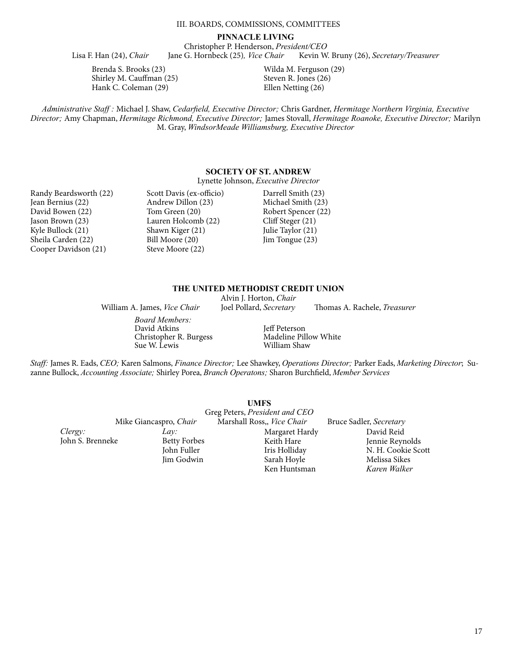# III. BOARDS, COMMISSIONS, COMMITTEES

#### **PINNACLE LIVING**

Christopher P. Henderson, *President/CEO* Lisa F. Han (24), *Chair* Jane G. Hornbeck (25)*, Vice Chair* Kevin W. Bruny (26), *Secretary/Treasurer* 

Brenda S. Brooks (23) Shirley M. Cauffman (25) Hank C. Coleman (29)

Wilda M. Ferguson (29) Steven R. Jones (26) Ellen Netting (26)

*Administrative Staff :* Michael J. Shaw, *Cedarfield, Executive Director;* Chris Gardner, *Hermitage Northern Virginia, Executive Director;* Amy Chapman, *Hermitage Richmond, Executive Director;* James Stovall, *Hermitage Roanoke, Executive Director;* Marilyn M. Gray, *WindsorMeade Williamsburg, Executive Director*

# **SOCIETY OF ST. ANDREW**

Lynette Johnson, *Executive Director*

Randy Beardsworth (22) Jean Bernius (22) David Bowen (22) Jason Brown (23) Kyle Bullock (21) Sheila Carden (22) Cooper Davidson (21)

Scott Davis (ex-officio) Andrew Dillon (23) Tom Green (20) Lauren Holcomb (22) Shawn Kiger (21) Bill Moore (20) Steve Moore (22)

Darrell Smith (23) Michael Smith (23) Robert Spencer (22) Cliff Steger (21) Julie Taylor (21) Jim Tongue (23)

# **THE UNITED METHODIST CREDIT UNION**

Alvin J. Horton, *Chair*

William A. James, *Vice Chair* Joel Pollard, *Secretary* Thomas A. Rachele, *Treasurer*

*Board Members:* David Atkins Christopher R. Burgess Sue W. Lewis

Jeff Peterson Madeline Pillow White William Shaw

*Staff:* James R. Eads, *CEO;* Karen Salmons, *Finance Director;* Lee Shawkey, *Operations Director;* Parker Eads, *Marketing Director*;Suzanne Bullock, *Accounting Associate;* Shirley Porea, *Branch Operatons;* Sharon Burchfield, *Member Services*

|                  |                        | <b>UMFS</b><br>Greg Peters, President and CEO |                         |
|------------------|------------------------|-----------------------------------------------|-------------------------|
|                  | Mike Giancaspro, Chair | Marshall Ross,, Vice Chair                    | Bruce Sadler, Secretary |
| Clergy:          | Lav:                   | Margaret Hardy                                | David Reid              |
| John S. Brenneke | <b>Betty Forbes</b>    | Keith Hare                                    | Jennie Reynolds         |
|                  | John Fuller            | Iris Holliday                                 | N. H. Cookie Scott      |
|                  | Jim Godwin             | Sarah Hoyle                                   | Melissa Sikes           |
|                  |                        | Ken Huntsman                                  | Karen Walker            |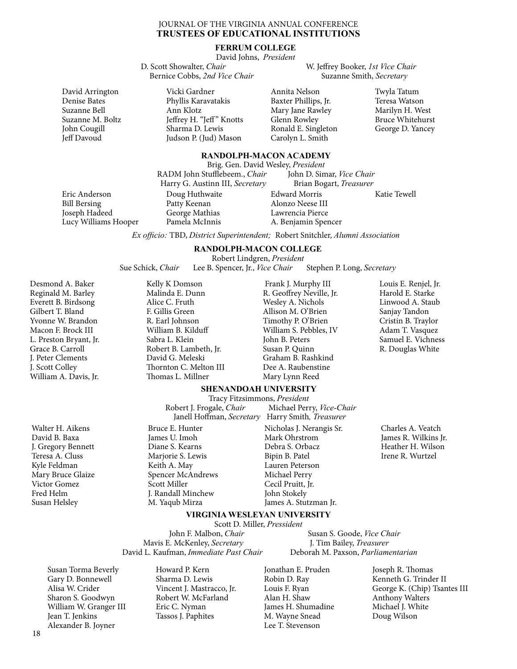## JOURNAL OF THE VIRGINIA ANNUAL CONFERENCE **TRUSTEES OF EDUCATIONAL INSTITUTIONS**

#### **FERRUM COLLEGE**

David Johns, *President*

 D. Scott Showalter, *Chair* W. Jeffrey Booker, *1st Vice Chair*  Bernice Cobbs, 2nd Vice Chair

David Arrington Denise Bates Suzanne Bell Suzanne M. Boltz John Cougill Jeff Davoud

Vicki Gardner Phyllis Karavatakis Ann Klotz Jeffrey H. "Jeff" Knotts Sharma D. Lewis Judson P. (Jud) Mason

Annita Nelson Baxter Phillips, Jr. Mary Jane Rawley Glenn Rowley

Ronald E. Singleton Carolyn L. Smith

Twyla Tatum Teresa Watson Marilyn H. West Bruce Whitehurst George D. Yancey

## **RANDOLPH-MACON ACADEMY**

Brig. Gen. David Wesley, *President*

Eric Anderson Bill Bersing Joseph Hadeed Lucy Williams Hooper

Doug Huthwaite Patty Keenan George Mathias Pamela McInnis

RADM John Stufflebeem., *Chair* 

Edward Morris Alonzo Neese III Lawrencia Pierce A. Benjamin Spencer Katie Tewell Harry G. Austinn III, *Secretary* Brian Bogart, *Treasurer*

*Ex officio:* TBD, *District Superintendent;* Robert Snitchler, *Alumni Association*

## **RANDOLPH-MACON COLLEGE** Robert Lindgren, *President*

Sue Schick, *Chair* Lee B. Spencer, Jr., *Vice Chair* Stephen P. Long, *Secretary* 

Desmond A. Baker Reginald M. Barley Everett B. Birdsong Gilbert T. Bland Yvonne W. Brandon Macon F. Brock III L. Preston Bryant, Jr. Grace B. Carroll J. Peter Clements J. Scott Colley William A. Davis, Jr.

Walter H. Aikens David B. Baxa J. Gregory Bennett Teresa A. Cluss Kyle Feldman Mary Bruce Glaize Victor Gomez Fred Helm Susan Helsley

Malinda E. Dunn Alice C. Fruth F. Gillis Green R. Earl Johnson William B. Kilduff Sabra L. Klein Robert B. Lambeth, Jr. David G. Meleski Thornton C. Melton III Thomas L. Millner

Kelly K Domson

 Frank J. Murphy III R. Geoffrey Neville, Jr. Wesley A. Nichols Allison M. O'Brien Timothy P. O'Brien William S. Pebbles, IV John B. Peters Susan P. Quinn Graham B. Rashkind Dee A. Raubenstine Mary Lynn Reed

Louis E. Renjel, Jr. Harold E. Starke Linwood A. Staub Sanjay Tandon Cristin B. Traylor Adam T. Vasquez Samuel E. Vichness R. Douglas White

#### **SHENANDOAH UNIVERSITY** Tracy Fitzsimmons, *President*

Robert J. Frogale, *Chair* Michael Perry, *Vice-Chair*  Janell Hoffman, *Secretary* Harry Smith*, Treasurer* 

Bruce E. Hunter James U. Imoh Diane S. Kearns Marjorie S. Lewis Keith A. May Spencer McAndrews Scott Miller J. Randall Minchew M. Yaqub Mirza

Nicholas J. Nerangis Sr. Mark Ohrstrom Debra S. Orbacz Bipin B. Patel Lauren Peterson Michael Perry Cecil Pruitt, Jr. John Stokely James A. Stutzman Jr.

Charles A. Veatch James R. Wilkins Jr. Heather H. Wilson Irene R. Wurtzel

**VIRGINIA WESLEYAN UNIVERSITY**

Scott D. Miller, *Pressident*<br>John F. Malbon, *Chair* Mavis E. McKenley, *Secretary* David L. Kaufman, *Immediate Past Chair* Deborah M. Paxson, *Parliamentarian*

**Susan S. Goode,** *Vice Chair* J. Tim Bailey, *Treasurer* 

Susan Torma Beverly Gary D. Bonnewell Alisa W. Crider Sharon S. Goodwyn William W. Granger III Jean T. Jenkins Alexander B. Joyner

Howard P. Kern Sharma D. Lewis Vincent J. Mastracco, Jr. Robert W. McFarland Eric C. Nyman Tassos J. Paphites

Jonathan E. Pruden Robin D. Ray Louis F. Ryan Alan H. Shaw James H. Shumadine M. Wayne Snead Lee T. Stevenson

Joseph R. Thomas Kenneth G. Trinder II George K. (Chip) Tsantes III Anthony Walters Michael I. White Doug Wilson